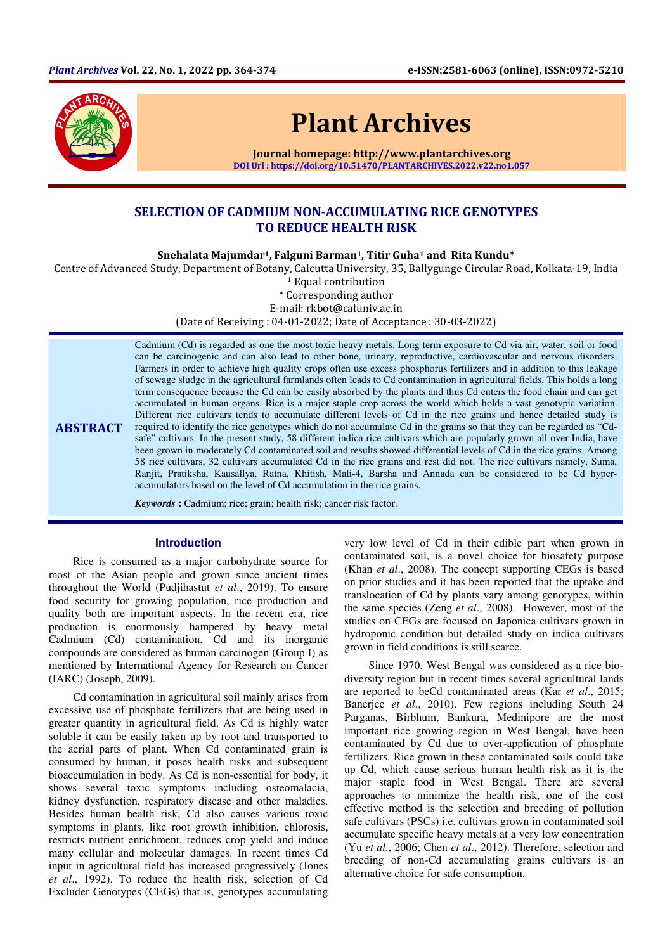

# Plant Archives

Journal homepage: http://www.plantarchives.org DOI Url : https://doi.org/10.51470/PLANTARCHIVES.2022.v22.no1.057

## SELECTION OF CADMIUM NON-ACCUMULATING RICE GENOTYPES TO REDUCE HEALTH RISK

Snehalata Majumdar<sup>1</sup>, Falguni Barman<sup>1</sup>, Titir Guha<sup>1</sup> and Rita Kundu\*

Centre of Advanced Study, Department of Botany, Calcutta University, 35, Ballygunge Circular Road, Kolkata-19, India

<sup>1</sup> Equal contribution

\* Corresponding author

E-mail: rkbot@caluniv.ac.in

(Date of Receiving : 04-01-2022; Date of Acceptance : 30-03-2022)

**ABSTRACT** 

Cadmium (Cd) is regarded as one the most toxic heavy metals. Long term exposure to Cd via air, water, soil or food can be carcinogenic and can also lead to other bone, urinary, reproductive, cardiovascular and nervous disorders. Farmers in order to achieve high quality crops often use excess phosphorus fertilizers and in addition to this leakage of sewage sludge in the agricultural farmlands often leads to Cd contamination in agricultural fields. This holds a long term consequence because the Cd can be easily absorbed by the plants and thus Cd enters the food chain and can get accumulated in human organs. Rice is a major staple crop across the world which holds a vast genotypic variation. Different rice cultivars tends to accumulate different levels of Cd in the rice grains and hence detailed study is required to identify the rice genotypes which do not accumulate Cd in the grains so that they can be regarded as "Cdsafe" cultivars. In the present study, 58 different indica rice cultivars which are popularly grown all over India, have been grown in moderately Cd contaminated soil and results showed differential levels of Cd in the rice grains. Among 58 rice cultivars, 32 cultivars accumulated Cd in the rice grains and rest did not. The rice cultivars namely, Suma, Ranjit, Pratiksha, Kausallya, Ratna, Khitish, Mali-4, Barsha and Annada can be considered to be Cd hyperaccumulators based on the level of Cd accumulation in the rice grains.

*Keywords* **:** Cadmium; rice; grain; health risk; cancer risk factor.

## **Introduction**

Rice is consumed as a major carbohydrate source for most of the Asian people and grown since ancient times throughout the World (Pudjihastut *et al*., 2019). To ensure food security for growing population, rice production and quality both are important aspects. In the recent era, rice production is enormously hampered by heavy metal Cadmium (Cd) contamination. Cd and its inorganic compounds are considered as human carcinogen (Group I) as mentioned by International Agency for Research on Cancer (IARC) (Joseph, 2009).

Cd contamination in agricultural soil mainly arises from excessive use of phosphate fertilizers that are being used in greater quantity in agricultural field. As Cd is highly water soluble it can be easily taken up by root and transported to the aerial parts of plant. When Cd contaminated grain is consumed by human, it poses health risks and subsequent bioaccumulation in body. As Cd is non-essential for body, it shows several toxic symptoms including osteomalacia, kidney dysfunction, respiratory disease and other maladies. Besides human health risk, Cd also causes various toxic symptoms in plants, like root growth inhibition, chlorosis, restricts nutrient enrichment, reduces crop yield and induce many cellular and molecular damages. In recent times Cd input in agricultural field has increased progressively (Jones *et al*., 1992). To reduce the health risk, selection of Cd Excluder Genotypes (CEGs) that is, genotypes accumulating

very low level of Cd in their edible part when grown in contaminated soil, is a novel choice for biosafety purpose (Khan *et al*., 2008). The concept supporting CEGs is based on prior studies and it has been reported that the uptake and translocation of Cd by plants vary among genotypes, within the same species (Zeng *et al*., 2008). However, most of the studies on CEGs are focused on Japonica cultivars grown in hydroponic condition but detailed study on indica cultivars grown in field conditions is still scarce.

Since 1970, West Bengal was considered as a rice biodiversity region but in recent times several agricultural lands are reported to beCd contaminated areas (Kar *et al*., 2015; Banerjee *et al*., 2010). Few regions including South 24 Parganas, Birbhum, Bankura, Medinipore are the most important rice growing region in West Bengal, have been contaminated by Cd due to over-application of phosphate fertilizers. Rice grown in these contaminated soils could take up Cd, which cause serious human health risk as it is the major staple food in West Bengal. There are several approaches to minimize the health risk, one of the cost effective method is the selection and breeding of pollution safe cultivars (PSCs) i.e. cultivars grown in contaminated soil accumulate specific heavy metals at a very low concentration (Yu *et al*., 2006; Chen *et al*., 2012). Therefore, selection and breeding of non-Cd accumulating grains cultivars is an alternative choice for safe consumption.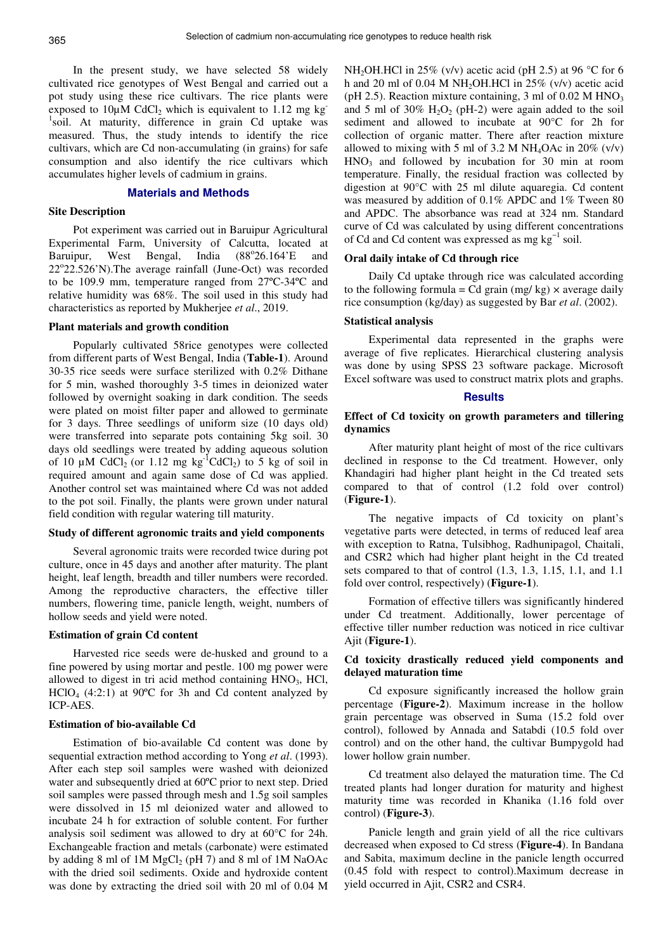In the present study, we have selected 58 widely cultivated rice genotypes of West Bengal and carried out a pot study using these rice cultivars. The rice plants were exposed to  $10\mu$ M CdCl<sub>2</sub> which is equivalent to 1.12 mg kg<sup>-</sup> <sup>1</sup>soil. At maturity, difference in grain Cd uptake was measured. Thus, the study intends to identify the rice cultivars, which are Cd non-accumulating (in grains) for safe consumption and also identify the rice cultivars which accumulates higher levels of cadmium in grains.

## **Materials and Methods**

#### **Site Description**

Pot experiment was carried out in Baruipur Agricultural Experimental Farm, University of Calcutta, located at Baruipur, West Bengal, India  $(88^{\circ}26.164)$ <sup>E</sup> and 22°22.526'N).The average rainfall (June-Oct) was recorded to be 109.9 mm, temperature ranged from 27ºC-34ºC and relative humidity was 68%. The soil used in this study had characteristics as reported by Mukherjee *et al*., 2019.

## **Plant materials and growth condition**

Popularly cultivated 58rice genotypes were collected from different parts of West Bengal, India (**Table-1**). Around 30-35 rice seeds were surface sterilized with 0.2% Dithane for 5 min, washed thoroughly 3-5 times in deionized water followed by overnight soaking in dark condition. The seeds were plated on moist filter paper and allowed to germinate for 3 days. Three seedlings of uniform size (10 days old) were transferred into separate pots containing 5kg soil. 30 days old seedlings were treated by adding aqueous solution of 10  $\mu$ M CdCl<sub>2</sub> (or 1.12 mg kg<sup>-1</sup>CdCl<sub>2</sub>) to 5 kg of soil in required amount and again same dose of Cd was applied. Another control set was maintained where Cd was not added to the pot soil. Finally, the plants were grown under natural field condition with regular watering till maturity.

## **Study of different agronomic traits and yield components**

Several agronomic traits were recorded twice during pot culture, once in 45 days and another after maturity. The plant height, leaf length, breadth and tiller numbers were recorded. Among the reproductive characters, the effective tiller numbers, flowering time, panicle length, weight, numbers of hollow seeds and yield were noted.

#### **Estimation of grain Cd content**

Harvested rice seeds were de-husked and ground to a fine powered by using mortar and pestle. 100 mg power were allowed to digest in tri acid method containing HNO<sub>3</sub>, HCl,  $HClO<sub>4</sub>$  (4:2:1) at 90 $^{\circ}$ C for 3h and Cd content analyzed by ICP-AES.

## **Estimation of bio-available Cd**

Estimation of bio-available Cd content was done by sequential extraction method according to Yong *et al*. (1993). After each step soil samples were washed with deionized water and subsequently dried at 60ºC prior to next step. Dried soil samples were passed through mesh and 1.5g soil samples were dissolved in 15 ml deionized water and allowed to incubate 24 h for extraction of soluble content. For further analysis soil sediment was allowed to dry at 60°C for 24h. Exchangeable fraction and metals (carbonate) were estimated by adding 8 ml of  $1M$  MgCl<sub>2</sub> (pH 7) and 8 ml of  $1M$  NaOAc with the dried soil sediments. Oxide and hydroxide content was done by extracting the dried soil with 20 ml of 0.04 M NH<sub>2</sub>OH.HCl in 25% (v/v) acetic acid (pH 2.5) at 96 °C for 6 h and 20 ml of 0.04 M NH<sub>2</sub>OH.HCl in  $25\%$  (v/v) acetic acid (pH 2.5). Reaction mixture containing,  $3 \text{ ml of } 0.02 \text{ M HNO}_3$ and 5 ml of 30%  $H_2O_2$  (pH-2) were again added to the soil sediment and allowed to incubate at 90°C for 2h for collection of organic matter. There after reaction mixture allowed to mixing with 5 ml of 3.2 M NH<sub>4</sub>OAc in  $20\%$  (v/v)  $HNO<sub>3</sub>$  and followed by incubation for 30 min at room temperature. Finally, the residual fraction was collected by digestion at 90°C with 25 ml dilute aquaregia. Cd content was measured by addition of 0.1% APDC and 1% Tween 80 and APDC. The absorbance was read at 324 nm. Standard curve of Cd was calculated by using different concentrations of Cd and Cd content was expressed as mg kg−1 soil.

## **Oral daily intake of Cd through rice**

Daily Cd uptake through rice was calculated according to the following formula = Cd grain (mg/ kg)  $\times$  average daily rice consumption (kg/day) as suggested by Bar *et al*. (2002).

## **Statistical analysis**

Experimental data represented in the graphs were average of five replicates. Hierarchical clustering analysis was done by using SPSS 23 software package. Microsoft Excel software was used to construct matrix plots and graphs.

#### **Results**

## **Effect of Cd toxicity on growth parameters and tillering dynamics**

After maturity plant height of most of the rice cultivars declined in response to the Cd treatment. However, only Khandagiri had higher plant height in the Cd treated sets compared to that of control (1.2 fold over control) (**Figure-1**).

The negative impacts of Cd toxicity on plant's vegetative parts were detected, in terms of reduced leaf area with exception to Ratna, Tulsibhog, Radhunipagol, Chaitali, and CSR2 which had higher plant height in the Cd treated sets compared to that of control (1.3, 1.3, 1.15, 1.1, and 1.1 fold over control, respectively) (**Figure-1**).

Formation of effective tillers was significantly hindered under Cd treatment. Additionally, lower percentage of effective tiller number reduction was noticed in rice cultivar Ajit (**Figure-1**).

## **Cd toxicity drastically reduced yield components and delayed maturation time**

Cd exposure significantly increased the hollow grain percentage (**Figure-2**). Maximum increase in the hollow grain percentage was observed in Suma (15.2 fold over control), followed by Annada and Satabdi (10.5 fold over control) and on the other hand, the cultivar Bumpygold had lower hollow grain number.

Cd treatment also delayed the maturation time. The Cd treated plants had longer duration for maturity and highest maturity time was recorded in Khanika (1.16 fold over control) (**Figure-3**).

Panicle length and grain yield of all the rice cultivars decreased when exposed to Cd stress (**Figure-4**). In Bandana and Sabita, maximum decline in the panicle length occurred (0.45 fold with respect to control).Maximum decrease in yield occurred in Ajit, CSR2 and CSR4.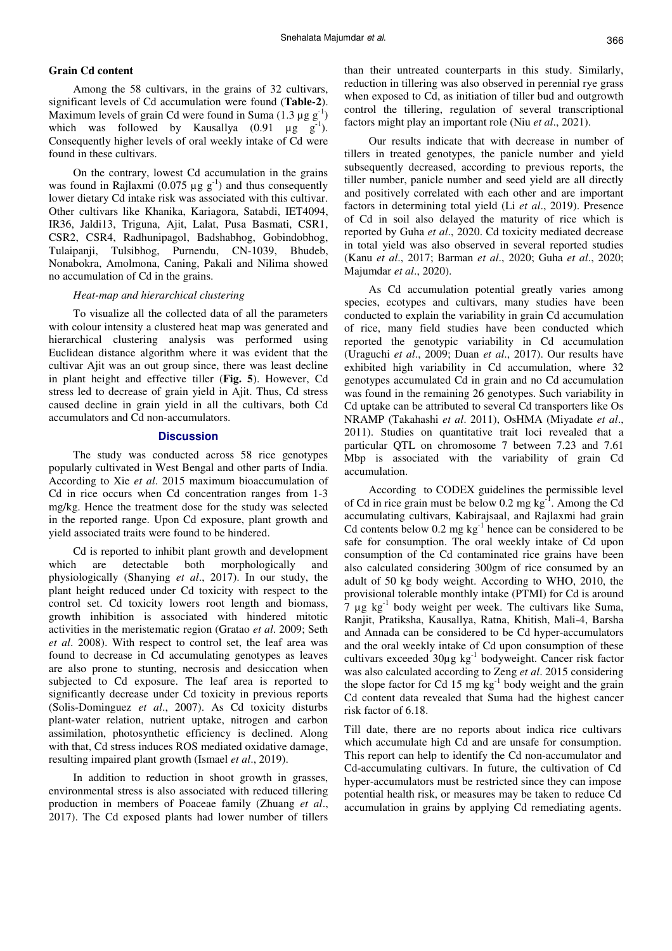## **Grain Cd content**

Among the 58 cultivars, in the grains of 32 cultivars, significant levels of Cd accumulation were found (**Table-2**). Maximum levels of grain Cd were found in Suma  $(1.3 \mu g g^{-1})$ which was followed by Kausallya  $(0.91 \text{ µg g}^{-1})$ . Consequently higher levels of oral weekly intake of Cd were found in these cultivars.

On the contrary, lowest Cd accumulation in the grains was found in Rajlaxmi (0.075  $\mu$ g g<sup>-1</sup>) and thus consequently lower dietary Cd intake risk was associated with this cultivar. Other cultivars like Khanika, Kariagora, Satabdi, IET4094, IR36, Jaldi13, Triguna, Ajit, Lalat, Pusa Basmati, CSR1, CSR2, CSR4, Radhunipagol, Badshabhog, Gobindobhog, Tulaipanji, Tulsibhog, Purnendu, CN-1039, Bhudeb, Nonabokra, Amolmona, Caning, Pakali and Nilima showed no accumulation of Cd in the grains.

## *Heat-map and hierarchical clustering*

To visualize all the collected data of all the parameters with colour intensity a clustered heat map was generated and hierarchical clustering analysis was performed using Euclidean distance algorithm where it was evident that the cultivar Ajit was an out group since, there was least decline in plant height and effective tiller (**Fig. 5**). However, Cd stress led to decrease of grain yield in Ajit. Thus, Cd stress caused decline in grain yield in all the cultivars, both Cd accumulators and Cd non-accumulators.

## **Discussion**

The study was conducted across 58 rice genotypes popularly cultivated in West Bengal and other parts of India. According to Xie *et al*. 2015 maximum bioaccumulation of Cd in rice occurs when Cd concentration ranges from 1-3 mg/kg. Hence the treatment dose for the study was selected in the reported range. Upon Cd exposure, plant growth and yield associated traits were found to be hindered.

Cd is reported to inhibit plant growth and development which are detectable both morphologically and physiologically (Shanying *et al*., 2017). In our study, the plant height reduced under Cd toxicity with respect to the control set. Cd toxicity lowers root length and biomass, growth inhibition is associated with hindered mitotic activities in the meristematic region (Gratao *et al*. 2009; Seth *et al*. 2008). With respect to control set, the leaf area was found to decrease in Cd accumulating genotypes as leaves are also prone to stunting, necrosis and desiccation when subjected to Cd exposure. The leaf area is reported to significantly decrease under Cd toxicity in previous reports (Solis-Dominguez *et al*., 2007). As Cd toxicity disturbs plant-water relation, nutrient uptake, nitrogen and carbon assimilation, photosynthetic efficiency is declined. Along with that, Cd stress induces ROS mediated oxidative damage, resulting impaired plant growth (Ismael *et al*., 2019).

In addition to reduction in shoot growth in grasses, environmental stress is also associated with reduced tillering production in members of Poaceae family (Zhuang *et al*., 2017). The Cd exposed plants had lower number of tillers than their untreated counterparts in this study. Similarly, reduction in tillering was also observed in perennial rye grass when exposed to Cd, as initiation of tiller bud and outgrowth control the tillering, regulation of several transcriptional factors might play an important role (Niu *et al*., 2021).

Our results indicate that with decrease in number of tillers in treated genotypes, the panicle number and yield subsequently decreased, according to previous reports, the tiller number, panicle number and seed yield are all directly and positively correlated with each other and are important factors in determining total yield (Li *et al*., 2019). Presence of Cd in soil also delayed the maturity of rice which is reported by Guha *et al*., 2020. Cd toxicity mediated decrease in total yield was also observed in several reported studies (Kanu *et al*., 2017; Barman *et al*., 2020; Guha *et al*., 2020; Majumdar *et al*., 2020).

As Cd accumulation potential greatly varies among species, ecotypes and cultivars, many studies have been conducted to explain the variability in grain Cd accumulation of rice, many field studies have been conducted which reported the genotypic variability in Cd accumulation (Uraguchi *et al*., 2009; Duan *et al*., 2017). Our results have exhibited high variability in Cd accumulation, where 32 genotypes accumulated Cd in grain and no Cd accumulation was found in the remaining 26 genotypes. Such variability in Cd uptake can be attributed to several Cd transporters like Os NRAMP (Takahashi *et al*. 2011), OsHMA (Miyadate *et al*., 2011). Studies on quantitative trait loci revealed that a particular QTL on chromosome 7 between 7.23 and 7.61 Mbp is associated with the variability of grain Cd accumulation.

According to CODEX guidelines the permissible level of Cd in rice grain must be below  $0.2 \text{ mg kg}^{-1}$ . Among the Cd accumulating cultivars, Kabirajsaal, and Rajlaxmi had grain Cd contents below  $0.2 \text{ mg kg}^{-1}$  hence can be considered to be safe for consumption. The oral weekly intake of Cd upon consumption of the Cd contaminated rice grains have been also calculated considering 300gm of rice consumed by an adult of 50 kg body weight. According to WHO, 2010, the provisional tolerable monthly intake (PTMI) for Cd is around  $7 \mu$ g kg<sup>-1</sup> body weight per week. The cultivars like Suma, Ranjit, Pratiksha, Kausallya, Ratna, Khitish, Mali-4, Barsha and Annada can be considered to be Cd hyper-accumulators and the oral weekly intake of Cd upon consumption of these cultivars exceeded 30µg kg<sup>-1</sup> bodyweight. Cancer risk factor was also calculated according to Zeng *et al*. 2015 considering the slope factor for Cd 15 mg  $kg<sup>-1</sup>$  body weight and the grain Cd content data revealed that Suma had the highest cancer risk factor of 6.18.

Till date, there are no reports about indica rice cultivars which accumulate high Cd and are unsafe for consumption. This report can help to identify the Cd non-accumulator and Cd-accumulating cultivars. In future, the cultivation of Cd hyper-accumulators must be restricted since they can impose potential health risk, or measures may be taken to reduce Cd accumulation in grains by applying Cd remediating agents.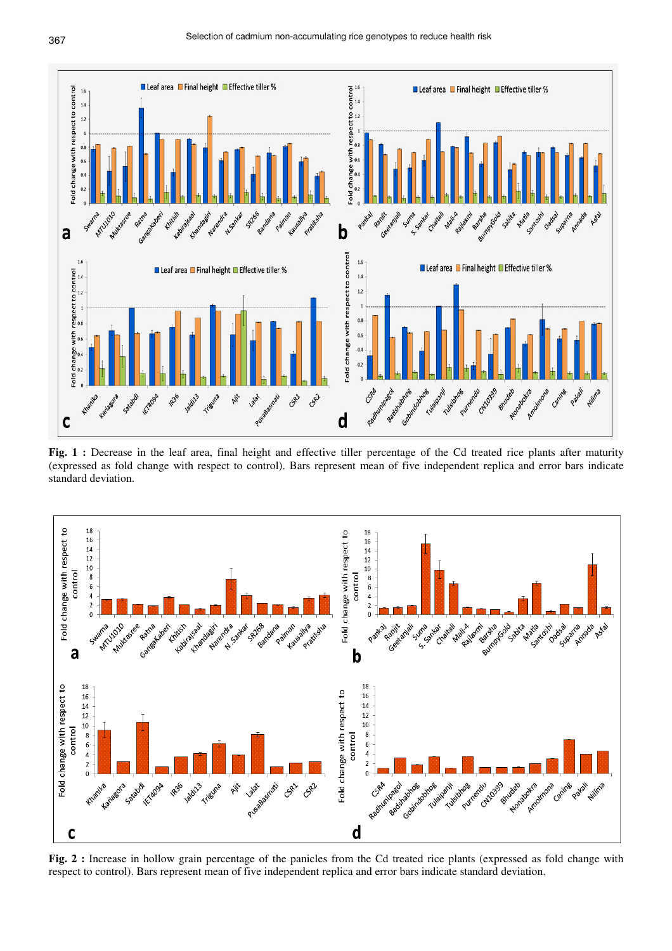

**Fig. 1 :** Decrease in the leaf area, final height and effective tiller percentage of the Cd treated rice plants after maturity (expressed as fold change with respect to control). Bars represent mean of five independent replica and error bars indicate standard deviation.



**Fig. 2 :** Increase in hollow grain percentage of the panicles from the Cd treated rice plants (expressed as fold change with respect to control). Bars represent mean of five independent replica and error bars indicate standard deviation.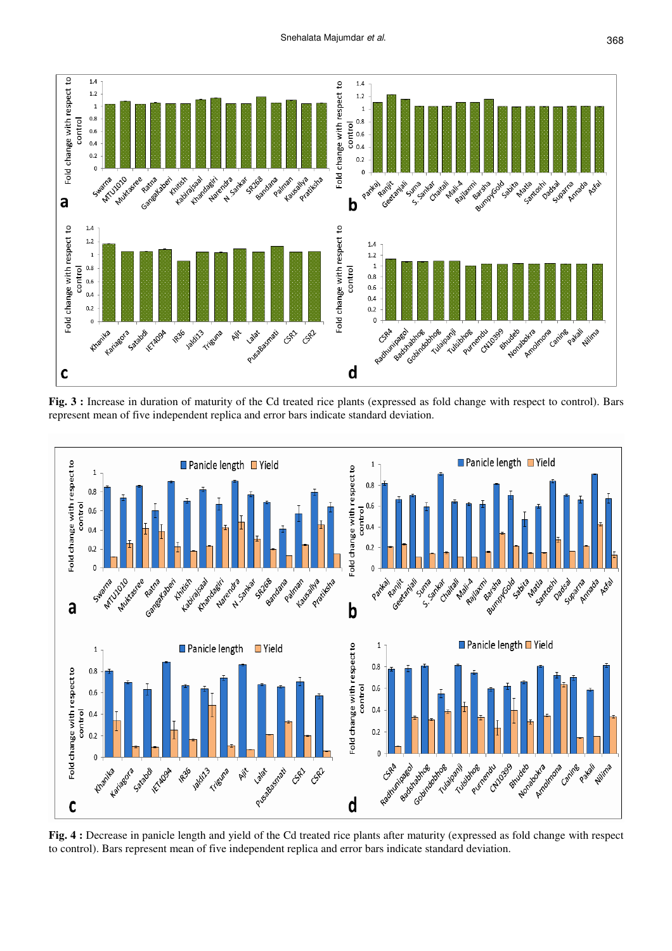

**Fig. 3 :** Increase in duration of maturity of the Cd treated rice plants (expressed as fold change with respect to control). Bars represent mean of five independent replica and error bars indicate standard deviation.



**Fig. 4 :** Decrease in panicle length and yield of the Cd treated rice plants after maturity (expressed as fold change with respect to control). Bars represent mean of five independent replica and error bars indicate standard deviation.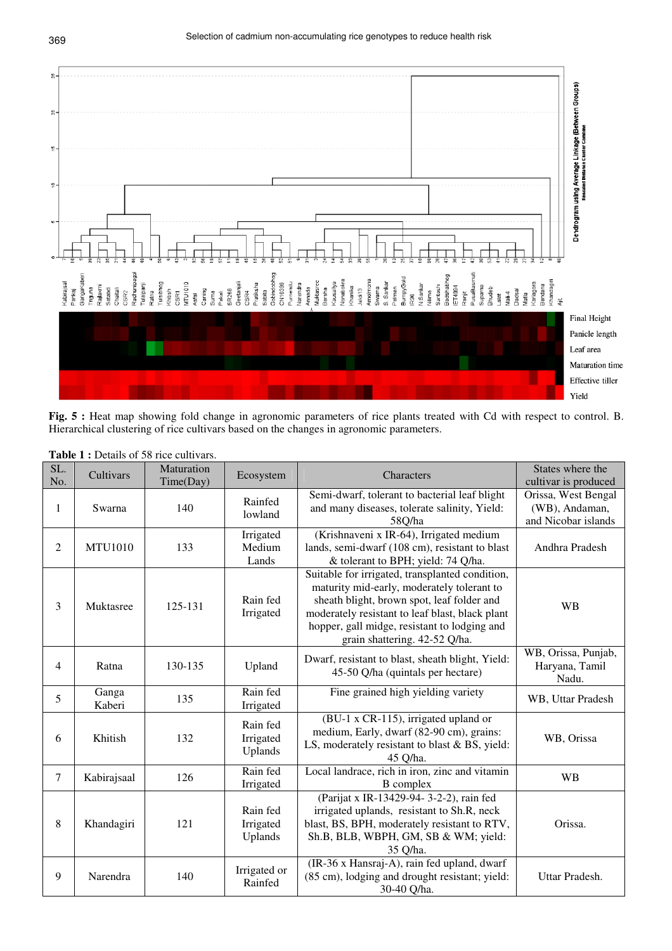

Fig. 5 : Heat map showing fold change in agronomic parameters of rice plants treated with Cd with respect to control. B. Hierarchical clustering of rice cultivars based on the changes in agronomic parameters.

| SL.<br>No.     | Cultivars       | Maturation<br>Time(Day) | Ecosystem                        | Characters                                                                                                                                                                                                                                                                      | States where the<br>cultivar is produced                     |
|----------------|-----------------|-------------------------|----------------------------------|---------------------------------------------------------------------------------------------------------------------------------------------------------------------------------------------------------------------------------------------------------------------------------|--------------------------------------------------------------|
| 1              | Swarna          | 140                     | Rainfed<br>lowland               | Semi-dwarf, tolerant to bacterial leaf blight<br>and many diseases, tolerate salinity, Yield:<br>58Q/ha                                                                                                                                                                         | Orissa, West Bengal<br>(WB), Andaman,<br>and Nicobar islands |
| $\overline{2}$ | <b>MTU1010</b>  | 133                     | Irrigated<br>Medium<br>Lands     | (Krishnaveni x IR-64), Irrigated medium<br>lands, semi-dwarf (108 cm), resistant to blast<br>& tolerant to BPH; yield: 74 Q/ha.                                                                                                                                                 | Andhra Pradesh                                               |
| 3              | Muktasree       | 125-131                 | Rain fed<br>Irrigated            | Suitable for irrigated, transplanted condition,<br>maturity mid-early, moderately tolerant to<br>sheath blight, brown spot, leaf folder and<br>moderately resistant to leaf blast, black plant<br>hopper, gall midge, resistant to lodging and<br>grain shattering. 42-52 Q/ha. | <b>WB</b>                                                    |
| 4              | Ratna           | 130-135                 | Upland                           | Dwarf, resistant to blast, sheath blight, Yield:<br>45-50 Q/ha (quintals per hectare)                                                                                                                                                                                           | WB, Orissa, Punjab,<br>Haryana, Tamil<br>Nadu.               |
| 5              | Ganga<br>Kaberi | 135                     | Rain fed<br>Irrigated            | Fine grained high yielding variety                                                                                                                                                                                                                                              | WB, Uttar Pradesh                                            |
| 6              | Khitish         | 132                     | Rain fed<br>Irrigated<br>Uplands | (BU-1 x CR-115), irrigated upland or<br>medium, Early, dwarf (82-90 cm), grains:<br>LS, moderately resistant to blast & BS, yield:<br>45 Q/ha.                                                                                                                                  | WB, Orissa                                                   |
| $\tau$         | Kabirajsaal     | 126                     | Rain fed<br>Irrigated            | Local landrace, rich in iron, zinc and vitamin<br><b>B</b> complex                                                                                                                                                                                                              | <b>WB</b>                                                    |
| 8              | Khandagiri      | 121                     | Rain fed<br>Irrigated<br>Uplands | (Parijat x IR-13429-94-3-2-2), rain fed<br>irrigated uplands, resistant to Sh.R, neck<br>blast, BS, BPH, moderately resistant to RTV,<br>Sh.B, BLB, WBPH, GM, SB & WM; yield:<br>35 Q/ha.                                                                                       | Orissa.                                                      |
| 9              | Narendra        | 140                     | Irrigated or<br>Rainfed          | (IR-36 x Hansraj-A), rain fed upland, dwarf<br>(85 cm), lodging and drought resistant; yield:<br>30-40 Q/ha.                                                                                                                                                                    | Uttar Pradesh.                                               |

**Table 1 :** Details of 58 rice cultivars.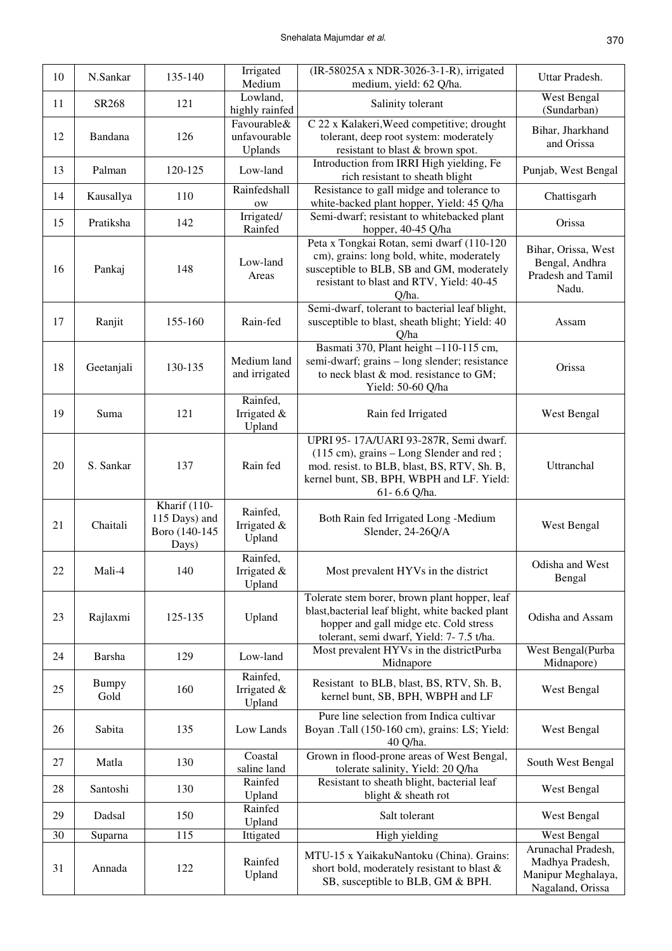| 10 | N.Sankar             | 135-140                                                 | Irrigated<br>Medium                    | (IR-58025A x NDR-3026-3-1-R), irrigated<br>medium, yield: 62 Q/ha.                                                                                                                            | Uttar Pradesh.                                                                  |
|----|----------------------|---------------------------------------------------------|----------------------------------------|-----------------------------------------------------------------------------------------------------------------------------------------------------------------------------------------------|---------------------------------------------------------------------------------|
| 11 | SR268                | 121                                                     | Lowland,<br>highly rainfed             | Salinity tolerant                                                                                                                                                                             | West Bengal<br>(Sundarban)                                                      |
| 12 | Bandana              | 126                                                     | Favourable&<br>unfavourable<br>Uplands | C 22 x Kalakeri, Weed competitive; drought<br>tolerant, deep root system: moderately<br>resistant to blast & brown spot.                                                                      | Bihar, Jharkhand<br>and Orissa                                                  |
| 13 | Palman               | 120-125                                                 | Low-land                               | Introduction from IRRI High yielding, Fe<br>rich resistant to sheath blight                                                                                                                   | Punjab, West Bengal                                                             |
| 14 | Kausallya            | 110                                                     | Rainfedshall<br>0W                     | Resistance to gall midge and tolerance to<br>white-backed plant hopper, Yield: 45 Q/ha                                                                                                        | Chattisgarh                                                                     |
| 15 | Pratiksha            | 142                                                     | Irrigated/<br>Rainfed                  | Semi-dwarf; resistant to whitebacked plant<br>hopper, 40-45 Q/ha                                                                                                                              | Orissa                                                                          |
| 16 | Pankaj               | 148                                                     | Low-land<br>Areas                      | Peta x Tongkai Rotan, semi dwarf (110-120<br>cm), grains: long bold, white, moderately<br>susceptible to BLB, SB and GM, moderately<br>resistant to blast and RTV, Yield: 40-45<br>Q/ha.      | Bihar, Orissa, West<br>Bengal, Andhra<br>Pradesh and Tamil<br>Nadu.             |
| 17 | Ranjit               | 155-160                                                 | Rain-fed                               | Semi-dwarf, tolerant to bacterial leaf blight,<br>susceptible to blast, sheath blight; Yield: 40<br>Q/ha                                                                                      | Assam                                                                           |
| 18 | Geetanjali           | 130-135                                                 | Medium land<br>and irrigated           | Basmati 370, Plant height -110-115 cm,<br>semi-dwarf; grains - long slender; resistance<br>to neck blast & mod. resistance to GM;<br>Yield: 50-60 Q/ha                                        | Orissa                                                                          |
| 19 | Suma                 | 121                                                     | Rainfed,<br>Irrigated &<br>Upland      | Rain fed Irrigated                                                                                                                                                                            | West Bengal                                                                     |
| 20 | S. Sankar            | 137                                                     | Rain fed                               | UPRI 95-17A/UARI 93-287R, Semi dwarf.<br>(115 cm), grains – Long Slender and red;<br>mod. resist. to BLB, blast, BS, RTV, Sh. B,<br>kernel bunt, SB, BPH, WBPH and LF. Yield:<br>61-6.6 Q/ha. | Uttranchal                                                                      |
| 21 | Chaitali             | Kharif (110-<br>115 Days) and<br>Boro (140-145<br>Days) | Rainfed,<br>Irrigated &<br>Upland      | Both Rain fed Irrigated Long -Medium<br>Slender, 24-26Q/A                                                                                                                                     | West Bengal                                                                     |
| 22 | Mali-4               | 140                                                     | Rainfed,<br>Irrigated &<br>Upland      | Most prevalent HYVs in the district                                                                                                                                                           | Odisha and West<br>Bengal                                                       |
| 23 | Rajlaxmi             | 125-135                                                 | Upland                                 | Tolerate stem borer, brown plant hopper, leaf<br>blast, bacterial leaf blight, white backed plant<br>hopper and gall midge etc. Cold stress<br>tolerant, semi dwarf, Yield: 7-7.5 t/ha.       | Odisha and Assam                                                                |
| 24 | Barsha               | 129                                                     | Low-land                               | Most prevalent HYVs in the districtPurba<br>Midnapore                                                                                                                                         | West Bengal(Purba<br>Midnapore)                                                 |
| 25 | <b>Bumpy</b><br>Gold | 160                                                     | Rainfed,<br>Irrigated &<br>Upland      | Resistant to BLB, blast, BS, RTV, Sh. B,<br>kernel bunt, SB, BPH, WBPH and LF                                                                                                                 | West Bengal                                                                     |
| 26 | Sabita               | 135                                                     | Low Lands                              | Pure line selection from Indica cultivar<br>Boyan .Tall (150-160 cm), grains: LS; Yield:<br>40 Q/ha.                                                                                          | West Bengal                                                                     |
| 27 | Matla                | 130                                                     | Coastal<br>saline land                 | Grown in flood-prone areas of West Bengal,<br>tolerate salinity, Yield: 20 Q/ha                                                                                                               | South West Bengal                                                               |
| 28 | Santoshi             | 130                                                     | Rainfed<br>Upland                      | Resistant to sheath blight, bacterial leaf<br>blight & sheath rot                                                                                                                             | West Bengal                                                                     |
| 29 | Dadsal               | 150                                                     | Rainfed<br>Upland                      | Salt tolerant                                                                                                                                                                                 | West Bengal                                                                     |
| 30 | Suparna              | 115                                                     | Ittigated                              | High yielding                                                                                                                                                                                 | West Bengal                                                                     |
| 31 | Annada               | 122                                                     | Rainfed<br>Upland                      | MTU-15 x YaikakuNantoku (China). Grains:<br>short bold, moderately resistant to blast &<br>SB, susceptible to BLB, GM & BPH.                                                                  | Arunachal Pradesh,<br>Madhya Pradesh,<br>Manipur Meghalaya,<br>Nagaland, Orissa |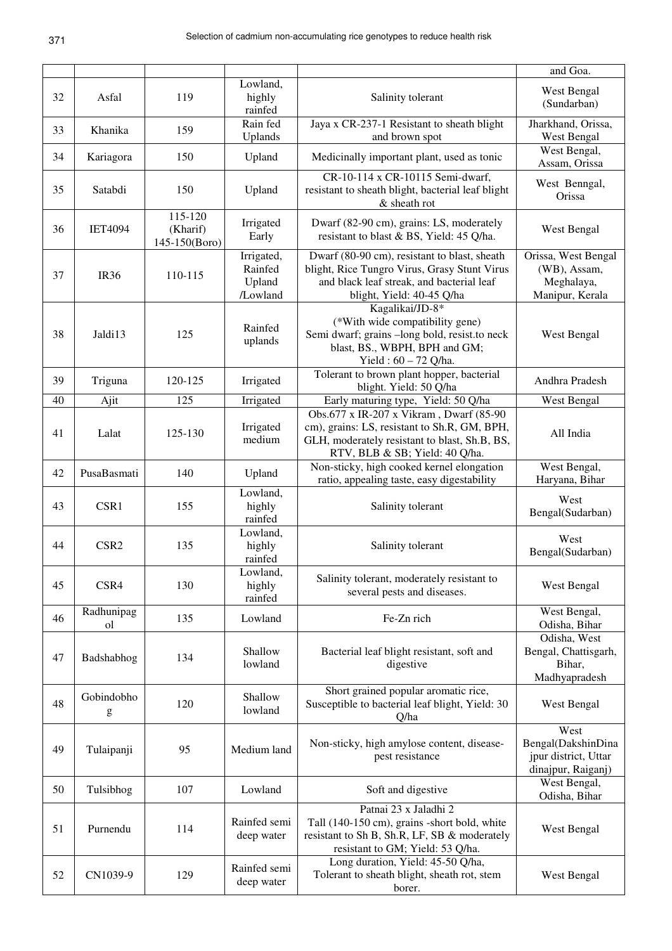|    |                              |                                      |                                             |                                                                                                                                                                             | and Goa.                                                                 |
|----|------------------------------|--------------------------------------|---------------------------------------------|-----------------------------------------------------------------------------------------------------------------------------------------------------------------------------|--------------------------------------------------------------------------|
| 32 | Asfal                        | 119                                  | Lowland,<br>highly<br>rainfed               | Salinity tolerant                                                                                                                                                           | West Bengal<br>(Sundarban)                                               |
| 33 | Khanika                      | 159                                  | Rain fed<br>Uplands                         | Jaya x CR-237-1 Resistant to sheath blight<br>and brown spot                                                                                                                | Jharkhand, Orissa,<br>West Bengal                                        |
| 34 | Kariagora                    | 150                                  | Upland                                      | Medicinally important plant, used as tonic                                                                                                                                  | West Bengal,<br>Assam, Orissa                                            |
| 35 | Satabdi                      | 150                                  | Upland                                      | CR-10-114 x CR-10115 Semi-dwarf,<br>resistant to sheath blight, bacterial leaf blight<br>& sheath rot                                                                       | West Benngal,<br>Orissa                                                  |
| 36 | <b>IET4094</b>               | 115-120<br>(Kharif)<br>145-150(Boro) | Irrigated<br>Early                          | Dwarf (82-90 cm), grains: LS, moderately<br>resistant to blast & BS, Yield: 45 Q/ha.                                                                                        | West Bengal                                                              |
| 37 | <b>IR36</b>                  | 110-115                              | Irrigated,<br>Rainfed<br>Upland<br>/Lowland | Dwarf (80-90 cm), resistant to blast, sheath<br>blight, Rice Tungro Virus, Grasy Stunt Virus<br>and black leaf streak, and bacterial leaf<br>blight, Yield: 40-45 Q/ha      | Orissa, West Bengal<br>(WB), Assam,<br>Meghalaya,<br>Manipur, Kerala     |
| 38 | Jaldi13                      | 125                                  | Rainfed<br>uplands                          | Kagalikai/JD-8*<br>(*With wide compatibility gene)<br>Semi dwarf; grains -long bold, resist.to neck<br>blast, BS., WBPH, BPH and GM;<br>Yield: 60 - 72 Q/ha.                | West Bengal                                                              |
| 39 | Triguna                      | 120-125                              | Irrigated                                   | Tolerant to brown plant hopper, bacterial<br>blight. Yield: 50 Q/ha                                                                                                         | Andhra Pradesh                                                           |
| 40 | Ajit                         | 125                                  | Irrigated                                   | Early maturing type, Yield: 50 Q/ha                                                                                                                                         | West Bengal                                                              |
| 41 | Lalat                        | 125-130                              | Irrigated<br>medium                         | Obs.677 x IR-207 x Vikram, Dwarf (85-90)<br>cm), grains: LS, resistant to Sh.R, GM, BPH,<br>GLH, moderately resistant to blast, Sh.B, BS,<br>RTV, BLB & SB; Yield: 40 Q/ha. | All India                                                                |
| 42 | PusaBasmati                  | 140                                  | Upland                                      | Non-sticky, high cooked kernel elongation<br>ratio, appealing taste, easy digestability                                                                                     | West Bengal,<br>Haryana, Bihar                                           |
| 43 | CSR1                         | 155                                  | Lowland,<br>highly<br>rainfed               | Salinity tolerant                                                                                                                                                           | West<br>Bengal(Sudarban)                                                 |
| 44 | CSR <sub>2</sub>             | 135                                  | Lowland,<br>highly<br>rainfed               | Salinity tolerant                                                                                                                                                           | West<br>Bengal(Sudarban)                                                 |
| 45 | CSR4                         | 130                                  | Lowland,<br>highly<br>rainfed               | Salinity tolerant, moderately resistant to<br>several pests and diseases.                                                                                                   | West Bengal                                                              |
| 46 | Radhunipag<br><sub>o</sub> l | 135                                  | Lowland                                     | Fe-Zn rich                                                                                                                                                                  | West Bengal,<br>Odisha, Bihar                                            |
| 47 | Badshabhog                   | 134                                  | Shallow<br>lowland                          | Bacterial leaf blight resistant, soft and<br>digestive                                                                                                                      | Odisha, West<br>Bengal, Chattisgarh,<br>Bihar,<br>Madhyapradesh          |
| 48 | Gobindobho<br>g              | 120                                  | Shallow<br>lowland                          | Short grained popular aromatic rice,<br>Susceptible to bacterial leaf blight, Yield: 30<br>Q/ha                                                                             | West Bengal                                                              |
| 49 | Tulaipanji                   | 95                                   | Medium land                                 | Non-sticky, high amylose content, disease-<br>pest resistance                                                                                                               | West<br>Bengal(DakshinDina<br>jpur district, Uttar<br>dinajpur, Raiganj) |
| 50 | Tulsibhog                    | 107                                  | Lowland                                     | Soft and digestive                                                                                                                                                          | West Bengal,<br>Odisha, Bihar                                            |
| 51 | Purnendu                     | 114                                  | Rainfed semi<br>deep water                  | Patnai 23 x Jaladhi 2<br>Tall (140-150 cm), grains -short bold, white<br>resistant to Sh B, Sh.R, LF, SB & moderately<br>resistant to GM; Yield: 53 Q/ha.                   | West Bengal                                                              |
| 52 | CN1039-9                     | 129                                  | Rainfed semi<br>deep water                  | Long duration, Yield: 45-50 Q/ha,<br>Tolerant to sheath blight, sheath rot, stem<br>borer.                                                                                  | West Bengal                                                              |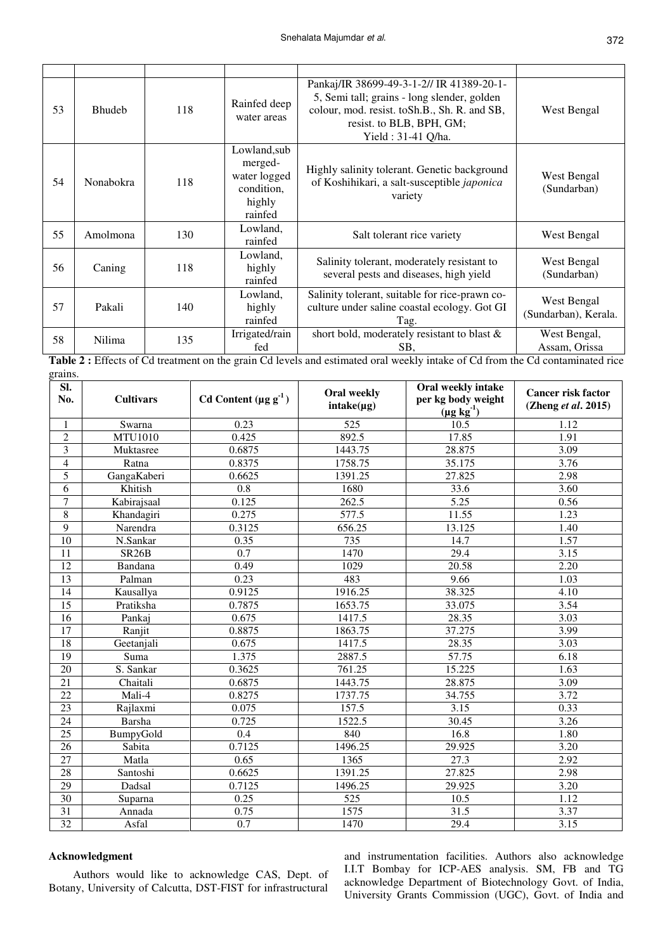| 53 | <b>Bhudeb</b> | 118 | Rainfed deep<br>water areas                                                | Pankaj/IR 38699-49-3-1-2// IR 41389-20-1-<br>5, Semi tall; grains - long slender, golden<br>colour, mod. resist. toSh.B., Sh. R. and SB,<br>resist. to BLB, BPH, GM;<br>Yield: 31-41 Q/ha. | West Bengal                         |
|----|---------------|-----|----------------------------------------------------------------------------|--------------------------------------------------------------------------------------------------------------------------------------------------------------------------------------------|-------------------------------------|
| 54 | Nonabokra     | 118 | Lowland, sub<br>merged-<br>water logged<br>condition,<br>highly<br>rainfed | Highly salinity tolerant. Genetic background<br>of Koshihikari, a salt-susceptible japonica<br>variety                                                                                     | West Bengal<br>(Sundarban)          |
| 55 | Amolmona      | 130 | Lowland,<br>rainfed                                                        | Salt tolerant rice variety                                                                                                                                                                 | West Bengal                         |
| 56 | Caning        | 118 | Lowland,<br>highly<br>rainfed                                              | Salinity tolerant, moderately resistant to<br>several pests and diseases, high yield                                                                                                       | West Bengal<br>(Sundarban)          |
| 57 | Pakali        | 140 | Lowland,<br>highly<br>rainfed                                              | Salinity tolerant, suitable for rice-prawn co-<br>culture under saline coastal ecology. Got GI<br>Tag.                                                                                     | West Bengal<br>(Sundarban), Kerala. |
| 58 | Nilima        | 135 | Irrigated/rain<br>fed                                                      | short bold, moderately resistant to blast &<br>SB,                                                                                                                                         | West Bengal,<br>Assam, Orissa       |

**Table 2 :** Effects of Cd treatment on the grain Cd levels and estimated oral weekly intake of Cd from the Cd contaminated rice grains.

| SI.<br>No.              | <b>Cultivars</b>   | Cd Content $(\mu g g^{-1})$ | <b>Oral weekly</b><br>$intake(\mu g)$ | Oral weekly intake<br>per kg body weight<br>$(\mu g kg^{-1})$ | <b>Cancer risk factor</b><br>(Zheng $et al. 2015$ ) |
|-------------------------|--------------------|-----------------------------|---------------------------------------|---------------------------------------------------------------|-----------------------------------------------------|
| 1                       | Swarna             | 0.23                        | 525                                   | 10.5                                                          | 1.12                                                |
| $\overline{2}$          | <b>MTU1010</b>     | 0.425                       | 892.5                                 | 17.85                                                         | 1.91                                                |
| $\overline{\mathbf{3}}$ | Muktasree          | 0.6875                      | 1443.75                               | 28.875                                                        | 3.09                                                |
| 4                       | Ratna              | 0.8375                      | 1758.75                               | 35.175                                                        | 3.76                                                |
| 5                       | GangaKaberi        | 0.6625                      | 1391.25                               | 27.825                                                        | 2.98                                                |
| 6                       | Khitish            | $\overline{0.8}$            | 1680                                  | 33.6                                                          | 3.60                                                |
| $\overline{7}$          | Kabirajsaal        | 0.125                       | 262.5                                 | 5.25                                                          | 0.56                                                |
| 8                       | Khandagiri         | 0.275                       | 577.5                                 | 11.55                                                         | 1.23                                                |
| 9                       | Narendra           | 0.3125                      | 656.25                                | 13.125                                                        | 1.40                                                |
| $\overline{10}$         | N.Sankar           | 0.35                        | 735                                   | 14.7                                                          | 1.57                                                |
| 11                      | SR <sub>26</sub> B | 0.7                         | 1470                                  | 29.4                                                          | 3.15                                                |
| 12                      | Bandana            | 0.49                        | 1029                                  | 20.58                                                         | 2.20                                                |
| 13                      | Palman             | 0.23                        | 483                                   | 9.66                                                          | 1.03                                                |
| 14                      | Kausallya          | 0.9125                      | 1916.25                               | 38.325                                                        | 4.10                                                |
| 15                      | Pratiksha          | 0.7875                      | 1653.75                               | 33.075                                                        | 3.54                                                |
| 16                      | Pankaj             | 0.675                       | 1417.5                                | 28.35                                                         | 3.03                                                |
| 17                      | Ranjit             | 0.8875                      | 1863.75                               | 37.275                                                        | 3.99                                                |
| 18                      | Geetanjali         | 0.675                       | 1417.5                                | 28.35                                                         | 3.03                                                |
| 19                      | Suma               | 1.375                       | 2887.5                                | 57.75                                                         | 6.18                                                |
| 20                      | S. Sankar          | 0.3625                      | 761.25                                | 15.225                                                        | 1.63                                                |
| $\overline{21}$         | Chaitali           | 0.6875                      | 1443.75                               | 28.875                                                        | 3.09                                                |
| 22                      | Mali-4             | 0.8275                      | 1737.75                               | 34.755                                                        | 3.72                                                |
| 23                      | Rajlaxmi           | 0.075                       | 157.5                                 | 3.15                                                          | 0.33                                                |
| 24                      | <b>Barsha</b>      | 0.725                       | 1522.5                                | 30.45                                                         | 3.26                                                |
| $\overline{25}$         | BumpyGold          | 0.4                         | 840                                   | 16.8                                                          | 1.80                                                |
| 26                      | Sabita             | 0.7125                      | 1496.25                               | 29.925                                                        | 3.20                                                |
| 27                      | Matla              | 0.65                        | 1365                                  | 27.3                                                          | 2.92                                                |
| 28                      | Santoshi           | 0.6625                      | 1391.25                               | 27.825                                                        | 2.98                                                |
| $\overline{29}$         | Dadsal             | 0.7125                      | 1496.25                               | 29.925                                                        | 3.20                                                |
| 30                      | Suparna            | 0.25                        | 525                                   | 10.5                                                          | 1.12                                                |
| 31                      | Annada             | 0.75                        | 1575                                  | 31.5                                                          | 3.37                                                |
| $\overline{32}$         | Asfal              | 0.7                         | 1470                                  | 29.4                                                          | 3.15                                                |

## **Acknowledgment**

Authors would like to acknowledge CAS, Dept. of Botany, University of Calcutta, DST-FIST for infrastructural

and instrumentation facilities. Authors also acknowledge I.I.T Bombay for ICP-AES analysis. SM, FB and TG acknowledge Department of Biotechnology Govt. of India, University Grants Commission (UGC), Govt. of India and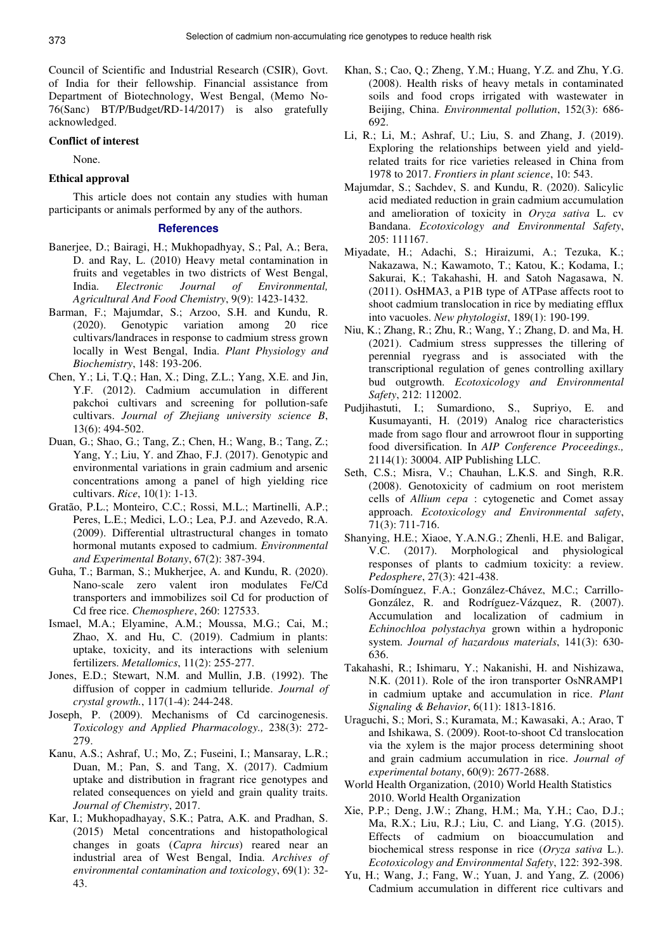Council of Scientific and Industrial Research (CSIR), Govt. of India for their fellowship. Financial assistance from Department of Biotechnology, West Bengal, (Memo No-76(Sanc) BT/P/Budget/RD-14/2017) is also gratefully acknowledged.

## **Conflict of interest**

None.

## **Ethical approval**

This article does not contain any studies with human participants or animals performed by any of the authors.

## **References**

- Banerjee, D.; Bairagi, H.; Mukhopadhyay, S.; Pal, A.; Bera, D. and Ray, L. (2010) Heavy metal contamination in fruits and vegetables in two districts of West Bengal, India. *Electronic Journal of Environmental, Agricultural And Food Chemistry*, 9(9): 1423-1432.
- Barman, F.; Majumdar, S.; Arzoo, S.H. and Kundu, R. (2020). Genotypic variation among 20 rice cultivars/landraces in response to cadmium stress grown locally in West Bengal, India. *Plant Physiology and Biochemistry*, 148: 193-206.
- Chen, Y.; Li, T.Q.; Han, X.; Ding, Z.L.; Yang, X.E. and Jin, Y.F. (2012). Cadmium accumulation in different pakchoi cultivars and screening for pollution-safe cultivars. *Journal of Zhejiang university science B*, 13(6): 494-502.
- Duan, G.; Shao, G.; Tang, Z.; Chen, H.; Wang, B.; Tang, Z.; Yang, Y.; Liu, Y. and Zhao, F.J. (2017). Genotypic and environmental variations in grain cadmium and arsenic concentrations among a panel of high yielding rice cultivars. *Rice*, 10(1): 1-13.
- Gratão, P.L.; Monteiro, C.C.; Rossi, M.L.; Martinelli, A.P.; Peres, L.E.; Medici, L.O.; Lea, P.J. and Azevedo, R.A. (2009). Differential ultrastructural changes in tomato hormonal mutants exposed to cadmium. *Environmental and Experimental Botany*, 67(2): 387-394.
- Guha, T.; Barman, S.; Mukherjee, A. and Kundu, R. (2020). Nano-scale zero valent iron modulates Fe/Cd transporters and immobilizes soil Cd for production of Cd free rice. *Chemosphere*, 260: 127533.
- Ismael, M.A.; Elyamine, A.M.; Moussa, M.G.; Cai, M.; Zhao, X. and Hu, C. (2019). Cadmium in plants: uptake, toxicity, and its interactions with selenium fertilizers. *Metallomics*, 11(2): 255-277.
- Jones, E.D.; Stewart, N.M. and Mullin, J.B. (1992). The diffusion of copper in cadmium telluride. *Journal of crystal growth.*, 117(1-4): 244-248.
- Joseph, P. (2009). Mechanisms of Cd carcinogenesis. *Toxicology and Applied Pharmacology.,* 238(3): 272- 279.
- Kanu, A.S.; Ashraf, U.; Mo, Z.; Fuseini, I.; Mansaray, L.R.; Duan, M.; Pan, S. and Tang, X. (2017). Cadmium uptake and distribution in fragrant rice genotypes and related consequences on yield and grain quality traits. *Journal of Chemistry*, 2017.
- Kar, I.; Mukhopadhayay, S.K.; Patra, A.K. and Pradhan, S. (2015) Metal concentrations and histopathological changes in goats (*Capra hircus*) reared near an industrial area of West Bengal, India. *Archives of environmental contamination and toxicology*, 69(1): 32- 43.
- Khan, S.; Cao, Q.; Zheng, Y.M.; Huang, Y.Z. and Zhu, Y.G. (2008). Health risks of heavy metals in contaminated soils and food crops irrigated with wastewater in Beijing, China. *Environmental pollution*, 152(3): 686- 692.
- Li, R.; Li, M.; Ashraf, U.; Liu, S. and Zhang, J. (2019). Exploring the relationships between yield and yieldrelated traits for rice varieties released in China from 1978 to 2017. *Frontiers in plant science*, 10: 543.
- Majumdar, S.; Sachdev, S. and Kundu, R. (2020). Salicylic acid mediated reduction in grain cadmium accumulation and amelioration of toxicity in *Oryza sativa* L. cv Bandana. *Ecotoxicology and Environmental Safety*, 205: 111167.
- Miyadate, H.; Adachi, S.; Hiraizumi, A.; Tezuka, K.; Nakazawa, N.; Kawamoto, T.; Katou, K.; Kodama, I.; Sakurai, K.; Takahashi, H. and Satoh Nagasawa, N. (2011). OsHMA3, a P1B type of ATPase affects root to shoot cadmium translocation in rice by mediating efflux into vacuoles. *New phytologist*, 189(1): 190-199.
- Niu, K.; Zhang, R.; Zhu, R.; Wang, Y.; Zhang, D. and Ma, H. (2021). Cadmium stress suppresses the tillering of perennial ryegrass and is associated with the transcriptional regulation of genes controlling axillary bud outgrowth. *Ecotoxicology and Environmental Safety*, 212: 112002.
- Pudjihastuti, I.; Sumardiono, S., Supriyo, E. and Kusumayanti, H. (2019) Analog rice characteristics made from sago flour and arrowroot flour in supporting food diversification. In *AIP Conference Proceedings.,* 2114(1): 30004. AIP Publishing LLC.
- Seth, C.S.; Misra, V.; Chauhan, L.K.S. and Singh, R.R. (2008). Genotoxicity of cadmium on root meristem cells of *Allium cepa* : cytogenetic and Comet assay approach. *Ecotoxicology and Environmental safety*, 71(3): 711-716.
- Shanying, H.E.; Xiaoe, Y.A.N.G.; Zhenli, H.E. and Baligar, V.C. (2017). Morphological and physiological responses of plants to cadmium toxicity: a review. *Pedosphere*, 27(3): 421-438.
- Solís-Domínguez, F.A.; González-Chávez, M.C.; Carrillo-González, R. and Rodríguez-Vázquez, R. (2007). Accumulation and localization of cadmium in *Echinochloa polystachya* grown within a hydroponic system. *Journal of hazardous materials*, 141(3): 630- 636.
- Takahashi, R.; Ishimaru, Y.; Nakanishi, H. and Nishizawa, N.K. (2011). Role of the iron transporter OsNRAMP1 in cadmium uptake and accumulation in rice. *Plant Signaling & Behavior*, 6(11): 1813-1816.
- Uraguchi, S.; Mori, S.; Kuramata, M.; Kawasaki, A.; Arao, T and Ishikawa, S. (2009). Root-to-shoot Cd translocation via the xylem is the major process determining shoot and grain cadmium accumulation in rice. *Journal of experimental botany*, 60(9): 2677-2688.
- World Health Organization, (2010) World Health Statistics 2010. World Health Organization
- Xie, P.P.; Deng, J.W.; Zhang, H.M.; Ma, Y.H.; Cao, D.J.; Ma, R.X.; Liu, R.J.; Liu, C. and Liang, Y.G. (2015). Effects of cadmium on bioaccumulation and biochemical stress response in rice (*Oryza sativa* L.). *Ecotoxicology and Environmental Safety*, 122: 392-398.
- Yu, H.; Wang, J.; Fang, W.; Yuan, J. and Yang, Z. (2006) Cadmium accumulation in different rice cultivars and